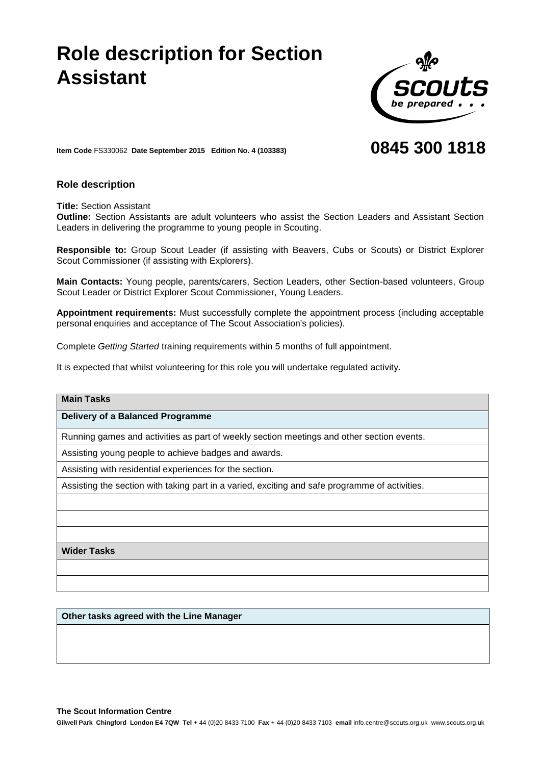# **Role description for Section Assistant**



# **0845 300 1818**

**Item Code** FS330062 **Date September 2015 Edition No. 4 (103383)**

## **Role description**

**Title:** Section Assistant

**Outline:** Section Assistants are adult volunteers who assist the Section Leaders and Assistant Section Leaders in delivering the programme to young people in Scouting.

**Responsible to:** Group Scout Leader (if assisting with Beavers, Cubs or Scouts) or District Explorer Scout Commissioner (if assisting with Explorers).

**Main Contacts:** Young people, parents/carers, Section Leaders, other Section-based volunteers, Group Scout Leader or District Explorer Scout Commissioner, Young Leaders.

**Appointment requirements:** Must successfully complete the appointment process (including acceptable personal enquiries and acceptance of The Scout Association's policies).

Complete *Getting Started* training requirements within 5 months of full appointment.

It is expected that whilst volunteering for this role you will undertake regulated activity.

### **Main Tasks**

#### **Delivery of a Balanced Programme**

Running games and activities as part of weekly section meetings and other section events.

Assisting young people to achieve badges and awards.

Assisting with residential experiences for the section.

Assisting the section with taking part in a varied, exciting and safe programme of activities.

**Wider Tasks**

**Other tasks agreed with the Line Manager**